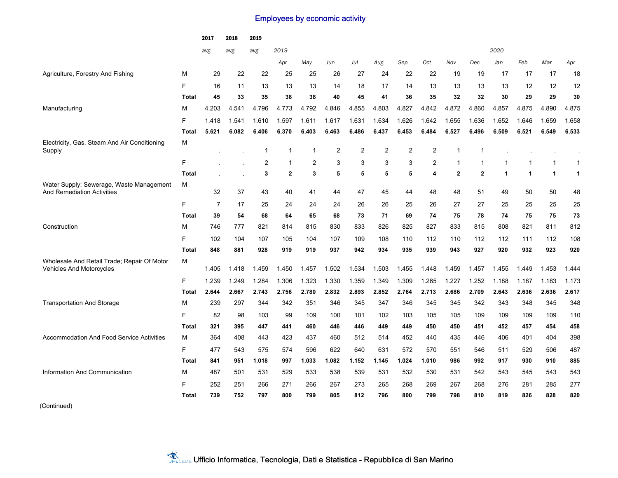## Employees by economic activity

|                                                                               |              | 2017           | 2018  | 2019           |                |       |                |                |       |                |                |              |                |              |       |              |              |
|-------------------------------------------------------------------------------|--------------|----------------|-------|----------------|----------------|-------|----------------|----------------|-------|----------------|----------------|--------------|----------------|--------------|-------|--------------|--------------|
|                                                                               |              | avg<br>avg     |       | avg            | 2019           |       |                |                |       |                |                |              |                | 2020         |       |              |              |
|                                                                               |              |                |       |                | Apr            | May   | Jun            | Jul            | Aug   | Sep            | Oct            | Nov          | Dec            | Jan          | Feb   | Mar          | Apr          |
| Agriculture, Forestry And Fishing                                             | м            | 29             | 22    | 22             | 25             | 25    | 26             | 27             | 24    | 22             | 22             | 19           | 19             | 17           | 17    | 17           | 18           |
|                                                                               | F            | 16             | 11    | 13             | 13             | 13    | 14             | 18             | 17    | 14             | 13             | 13           | 13             | 13           | 12    | 12           | 12           |
|                                                                               | <b>Total</b> | 45             | 33    | 35             | 38             | 38    | 40             | 45             | 41    | 36             | 35             | 32           | 32             | 30           | 29    | 29           | 30           |
| Manufacturing                                                                 | м            | 4.203          | 4.541 | 4.796          | 4.773          | 4.792 | 4.846          | 4.855          | 4.803 | 4.827          | 4.842          | 4.872        | 4.860          | 4.857        | 4.875 | 4.890        | 4.875        |
|                                                                               | F            | 1.418          | 1.541 | 1.610          | 1.597          | 1.611 | 1.617          | 1.631          | 1.634 | 1.626          | 1.642          | 1.655        | 1.636          | 1.652        | 1.646 | 1.659        | 1.658        |
|                                                                               | <b>Total</b> | 5.621          | 6.082 | 6.406          | 6.370          | 6.403 | 6.463          | 6.486          | 6.437 | 6.453          | 6.484          | 6.527        | 6.496          | 6.509        | 6.521 | 6.549        | 6.533        |
| Electricity, Gas, Steam And Air Conditioning<br>Supply                        | м            |                |       | $\mathbf{1}$   | $\overline{1}$ | 1     | $\overline{2}$ | $\overline{2}$ | 2     | $\overline{2}$ | $\overline{2}$ | $\mathbf 1$  | $\overline{1}$ |              |       |              |              |
|                                                                               | F            |                |       | $\overline{2}$ | $\mathbf{1}$   | 2     | 3              | 3              | 3     | 3              | $\overline{2}$ | $\mathbf 1$  | $\overline{1}$ | $\mathbf{1}$ | 1     | $\mathbf{1}$ | $\mathbf{1}$ |
|                                                                               | <b>Total</b> |                |       | 3              | $\mathbf{2}$   | 3     | 5              | 5              | 5     | 5              | 4              | $\mathbf{2}$ | $\mathbf{2}$   | $\mathbf{1}$ | 1     | $\mathbf{1}$ | $\mathbf{1}$ |
| Water Supply; Sewerage, Waste Management<br><b>And Remediation Activities</b> | м            | 32             | 37    | 43             | 40             | 41    | 44             | 47             | 45    | 44             | 48             | 48           | 51             | 49           | 50    | 50           | 48           |
|                                                                               | F            | $\overline{7}$ | 17    | 25             | 24             | 24    | 24             | 26             | 26    | 25             | 26             | 27           | 27             | 25           | 25    | 25           | 25           |
|                                                                               | Total        | 39             | 54    | 68             | 64             | 65    | 68             | 73             | 71    | 69             | 74             | 75           | 78             | 74           | 75    | 75           | 73           |
| Construction                                                                  | М            | 746            | 777   | 821            | 814            | 815   | 830            | 833            | 826   | 825            | 827            | 833          | 815            | 808          | 821   | 811          | 812          |
|                                                                               | F            | 102            | 104   | 107            | 105            | 104   | 107            | 109            | 108   | 110            | 112            | 110          | 112            | 112          | 111   | 112          | 108          |
|                                                                               | <b>Total</b> | 848            | 881   | 928            | 919            | 919   | 937            | 942            | 934   | 935            | 939            | 943          | 927            | 920          | 932   | 923          | 920          |
| Wholesale And Retail Trade; Repair Of Motor<br>Vehicles And Motorcycles       | м            | 1.405          | 1.418 | 1.459          | 1.450          | 1.457 | 1.502          | 1.534          | 1.503 | 1.455          | 1.448          | 1.459        | 1.457          | 1.455        | 1.449 | 1.453        | 1.444        |
|                                                                               | F            | 1.239          | 1.249 | 1.284          | 1.306          | 1.323 | 1.330          | 1.359          | 1.349 | 1.309          | 1.265          | 1.227        | 1.252          | 1.188        | 1.187 | 1.183        | 1.173        |
|                                                                               | Total        | 2.644          | 2.667 | 2.743          | 2.756          | 2.780 | 2.832          | 2.893          | 2.852 | 2.764          | 2.713          | 2.686        | 2.709          | 2.643        | 2.636 | 2.636        | 2.617        |
| <b>Transportation And Storage</b>                                             | М            | 239            | 297   | 344            | 342            | 351   | 346            | 345            | 347   | 346            | 345            | 345          | 342            | 343          | 348   | 345          | 348          |
|                                                                               | F            | 82             | 98    | 103            | 99             | 109   | 100            | 101            | 102   | 103            | 105            | 105          | 109            | 109          | 109   | 109          | 110          |
|                                                                               | <b>Total</b> | 321            | 395   | 447            | 441            | 460   | 446            | 446            | 449   | 449            | 450            | 450          | 451            | 452          | 457   | 454          | 458          |
| <b>Accommodation And Food Service Activities</b>                              | м            | 364            | 408   | 443            | 423            | 437   | 460            | 512            | 514   | 452            | 440            | 435          | 446            | 406          | 401   | 404          | 398          |
|                                                                               | F.           | 477            | 543   | 575            | 574            | 596   | 622            | 640            | 631   | 572            | 570            | 551          | 546            | 511          | 529   | 506          | 487          |
|                                                                               | <b>Total</b> | 841            | 951   | 1.018          | 997            | 1.033 | 1.082          | 1.152          | 1.145 | 1.024          | 1.010          | 986          | 992            | 917          | 930   | 910          | 885          |
| Information And Communication                                                 | М            | 487            | 501   | 531            | 529            | 533   | 538            | 539            | 531   | 532            | 530            | 531          | 542            | 543          | 545   | 543          | 543          |
|                                                                               | F            | 252            | 251   | 266            | 271            | 266   | 267            | 273            | 265   | 268            | 269            | 267          | 268            | 276          | 281   | 285          | 277          |
|                                                                               | <b>Total</b> | 739            | 752   | 797            | 800            | 799   | 805            | 812            | 796   | 800            | 799            | 798          | 810            | 819          | 826   | 828          | 820          |
|                                                                               |              |                |       |                |                |       |                |                |       |                |                |              |                |              |       |              |              |

(Continued)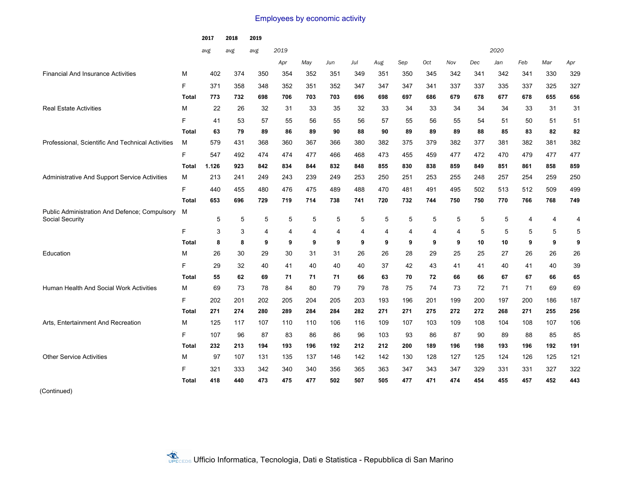## Employees by economic activity

|                                                                  |              | 2017  | 2018 | 2019 |      |     |     |     |     |     |     |     |     |      |                |     |                |
|------------------------------------------------------------------|--------------|-------|------|------|------|-----|-----|-----|-----|-----|-----|-----|-----|------|----------------|-----|----------------|
|                                                                  |              | avg   | avg  | avg  | 2019 |     |     |     |     |     |     |     |     | 2020 |                |     |                |
|                                                                  |              |       |      |      | Apr  | May | Jun | Jul | Aug | Sep | Oct | Nov | Dec | Jan  | Feb            | Mar | Apr            |
| <b>Financial And Insurance Activities</b>                        | м            | 402   | 374  | 350  | 354  | 352 | 351 | 349 | 351 | 350 | 345 | 342 | 341 | 342  | 341            | 330 | 329            |
|                                                                  | F            | 371   | 358  | 348  | 352  | 351 | 352 | 347 | 347 | 347 | 341 | 337 | 337 | 335  | 337            | 325 | 327            |
|                                                                  | <b>Total</b> | 773   | 732  | 698  | 706  | 703 | 703 | 696 | 698 | 697 | 686 | 679 | 678 | 677  | 678            | 655 | 656            |
| <b>Real Estate Activities</b>                                    | М            | 22    | 26   | 32   | 31   | 33  | 35  | 32  | 33  | 34  | 33  | 34  | 34  | 34   | 33             | 31  | 31             |
|                                                                  | F            | 41    | 53   | 57   | 55   | 56  | 55  | 56  | 57  | 55  | 56  | 55  | 54  | 51   | 50             | 51  | 51             |
|                                                                  | <b>Total</b> | 63    | 79   | 89   | 86   | 89  | 90  | 88  | 90  | 89  | 89  | 89  | 88  | 85   | 83             | 82  | 82             |
| Professional, Scientific And Technical Activities                | м            | 579   | 431  | 368  | 360  | 367 | 366 | 380 | 382 | 375 | 379 | 382 | 377 | 381  | 382            | 381 | 382            |
|                                                                  | F.           | 547   | 492  | 474  | 474  | 477 | 466 | 468 | 473 | 455 | 459 | 477 | 472 | 470  | 479            | 477 | 477            |
|                                                                  | <b>Total</b> | 1.126 | 923  | 842  | 834  | 844 | 832 | 848 | 855 | 830 | 838 | 859 | 849 | 851  | 861            | 858 | 859            |
| Administrative And Support Service Activities                    | м            | 213   | 241  | 249  | 243  | 239 | 249 | 253 | 250 | 251 | 253 | 255 | 248 | 257  | 254            | 259 | 250            |
|                                                                  | F            | 440   | 455  | 480  | 476  | 475 | 489 | 488 | 470 | 481 | 491 | 495 | 502 | 513  | 512            | 509 | 499            |
|                                                                  | <b>Total</b> | 653   | 696  | 729  | 719  | 714 | 738 | 741 | 720 | 732 | 744 | 750 | 750 | 770  | 766            | 768 | 749            |
| Public Administration And Defence; Compulsory<br>Social Security | м            | 5     | 5    | 5    | 5    | 5   | 5   | 5   | 5   | 5   | 5   | 5   | 5   | 5    | $\overline{4}$ | 4   | $\overline{4}$ |
|                                                                  | F            | 3     | 3    | 4    | 4    | 4   | 4   | 4   | 4   | 4   | 4   | 4   | 5   | 5    | 5              | 5   | 5              |
|                                                                  | Total        | 8     | 8    | 9    | 9    | 9   | 9   | 9   | 9   | 9   | 9   | 9   | 10  | 10   | 9              | 9   | 9              |
| Education                                                        | м            | 26    | 30   | 29   | 30   | 31  | 31  | 26  | 26  | 28  | 29  | 25  | 25  | 27   | 26             | 26  | 26             |
|                                                                  | F            | 29    | 32   | 40   | 41   | 40  | 40  | 40  | 37  | 42  | 43  | 41  | 41  | 40   | 41             | 40  | 39             |
|                                                                  | <b>Total</b> | 55    | 62   | 69   | 71   | 71  | 71  | 66  | 63  | 70  | 72  | 66  | 66  | 67   | 67             | 66  | 65             |
| Human Health And Social Work Activities                          | М            | 69    | 73   | 78   | 84   | 80  | 79  | 79  | 78  | 75  | 74  | 73  | 72  | 71   | 71             | 69  | 69             |
|                                                                  | F            | 202   | 201  | 202  | 205  | 204 | 205 | 203 | 193 | 196 | 201 | 199 | 200 | 197  | 200            | 186 | 187            |
|                                                                  | <b>Total</b> | 271   | 274  | 280  | 289  | 284 | 284 | 282 | 271 | 271 | 275 | 272 | 272 | 268  | 271            | 255 | 256            |
| Arts, Entertainment And Recreation                               | М            | 125   | 117  | 107  | 110  | 110 | 106 | 116 | 109 | 107 | 103 | 109 | 108 | 104  | 108            | 107 | 106            |
|                                                                  | F            | 107   | 96   | 87   | 83   | 86  | 86  | 96  | 103 | 93  | 86  | 87  | 90  | 89   | 88             | 85  | 85             |
|                                                                  | <b>Total</b> | 232   | 213  | 194  | 193  | 196 | 192 | 212 | 212 | 200 | 189 | 196 | 198 | 193  | 196            | 192 | 191            |
| <b>Other Service Activities</b>                                  | м            | 97    | 107  | 131  | 135  | 137 | 146 | 142 | 142 | 130 | 128 | 127 | 125 | 124  | 126            | 125 | 121            |
|                                                                  | F            | 321   | 333  | 342  | 340  | 340 | 356 | 365 | 363 | 347 | 343 | 347 | 329 | 331  | 331            | 327 | 322            |
|                                                                  | <b>Total</b> | 418   | 440  | 473  | 475  | 477 | 502 | 507 | 505 | 477 | 471 | 474 | 454 | 455  | 457            | 452 | 443            |
|                                                                  |              |       |      |      |      |     |     |     |     |     |     |     |     |      |                |     |                |

(Continued)